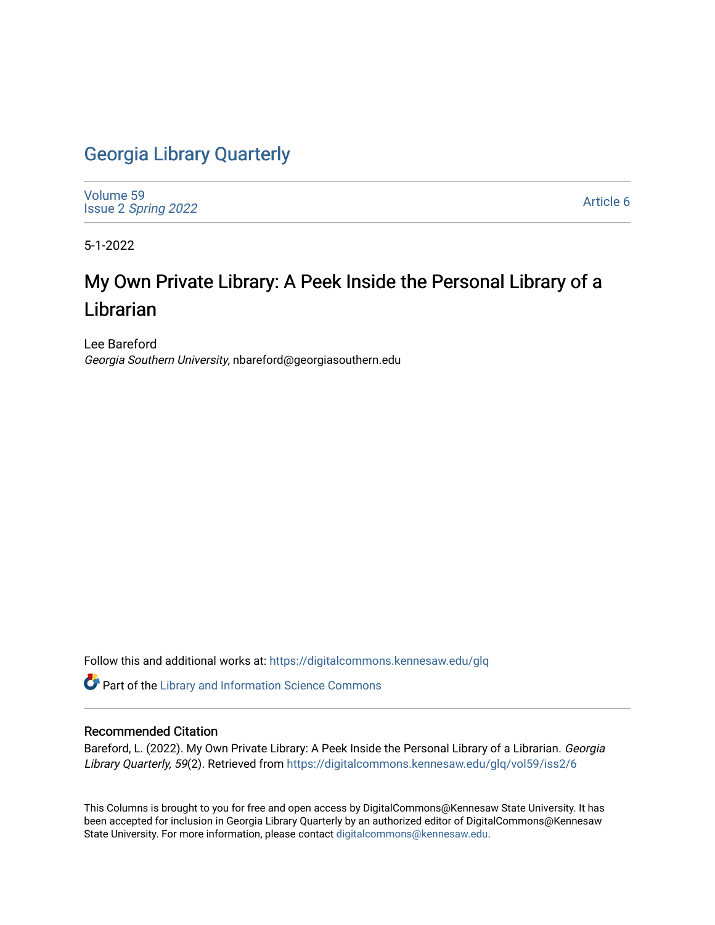### [Georgia Library Quarterly](https://digitalcommons.kennesaw.edu/glq)

[Volume 59](https://digitalcommons.kennesaw.edu/glq/vol59) Issue 2 [Spring 2022](https://digitalcommons.kennesaw.edu/glq/vol59/iss2) 

[Article 6](https://digitalcommons.kennesaw.edu/glq/vol59/iss2/6) 

5-1-2022

## My Own Private Library: A Peek Inside the Personal Library of a Librarian

Lee Bareford Georgia Southern University, nbareford@georgiasouthern.edu

Follow this and additional works at: [https://digitalcommons.kennesaw.edu/glq](https://digitalcommons.kennesaw.edu/glq?utm_source=digitalcommons.kennesaw.edu%2Fglq%2Fvol59%2Fiss2%2F6&utm_medium=PDF&utm_campaign=PDFCoverPages) 

Part of the [Library and Information Science Commons](http://network.bepress.com/hgg/discipline/1018?utm_source=digitalcommons.kennesaw.edu%2Fglq%2Fvol59%2Fiss2%2F6&utm_medium=PDF&utm_campaign=PDFCoverPages) 

#### Recommended Citation

Bareford, L. (2022). My Own Private Library: A Peek Inside the Personal Library of a Librarian. Georgia Library Quarterly, 59(2). Retrieved from [https://digitalcommons.kennesaw.edu/glq/vol59/iss2/6](https://digitalcommons.kennesaw.edu/glq/vol59/iss2/6?utm_source=digitalcommons.kennesaw.edu%2Fglq%2Fvol59%2Fiss2%2F6&utm_medium=PDF&utm_campaign=PDFCoverPages)

This Columns is brought to you for free and open access by DigitalCommons@Kennesaw State University. It has been accepted for inclusion in Georgia Library Quarterly by an authorized editor of DigitalCommons@Kennesaw State University. For more information, please contact [digitalcommons@kennesaw.edu.](mailto:digitalcommons@kennesaw.edu)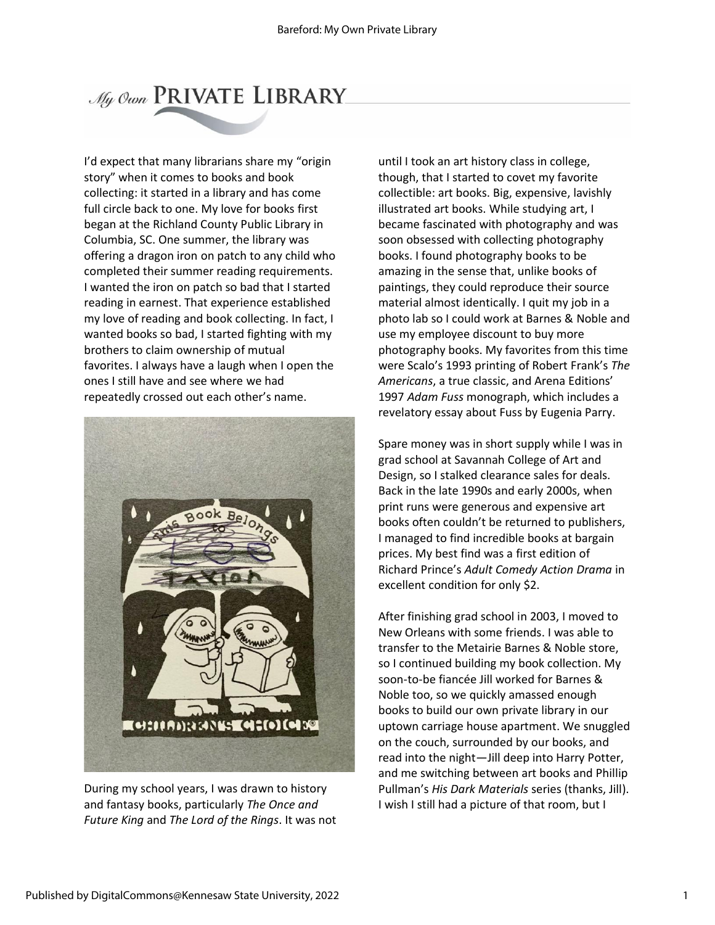# My Own PRIVATE LIBRARY

I'd expect that many librarians share my "origin story" when it comes to books and book collecting: it started in a library and has come full circle back to one. My love for books first began at the Richland County Public Library in Columbia, SC. One summer, the library was offering a dragon iron on patch to any child who completed their summer reading requirements. I wanted the iron on patch so bad that I started reading in earnest. That experience established my love of reading and book collecting. In fact, I wanted books so bad, I started fighting with my brothers to claim ownership of mutual favorites. I always have a laugh when I open the ones I still have and see where we had repeatedly crossed out each other's name.



During my school years, I was drawn to history and fantasy books, particularly *The Once and Future King* and *The Lord of the Rings*. It was not

until I took an art history class in college, though, that I started to covet my favorite collectible: art books. Big, expensive, lavishly illustrated art books. While studying art, I became fascinated with photography and was soon obsessed with collecting photography books. I found photography books to be amazing in the sense that, unlike books of paintings, they could reproduce their source material almost identically. I quit my job in a photo lab so I could work at Barnes & Noble and use my employee discount to buy more photography books. My favorites from this time were Scalo's 1993 printing of Robert Frank's *The Americans*, a true classic, and Arena Editions' 1997 *Adam Fuss* monograph, which includes a revelatory essay about Fuss by Eugenia Parry.

Spare money was in short supply while I was in grad school at Savannah College of Art and Design, so I stalked clearance sales for deals. Back in the late 1990s and early 2000s, when print runs were generous and expensive art books often couldn't be returned to publishers, I managed to find incredible books at bargain prices. My best find was a first edition of Richard Prince's *Adult Comedy Action Drama* in excellent condition for only \$2.

After finishing grad school in 2003, I moved to New Orleans with some friends. I was able to transfer to the Metairie Barnes & Noble store, so I continued building my book collection. My soon-to-be fiancée Jill worked for Barnes & Noble too, so we quickly amassed enough books to build our own private library in our uptown carriage house apartment. We snuggled on the couch, surrounded by our books, and read into the night—Jill deep into Harry Potter, and me switching between art books and Phillip Pullman's *His Dark Materials* series (thanks, Jill). I wish I still had a picture of that room, but I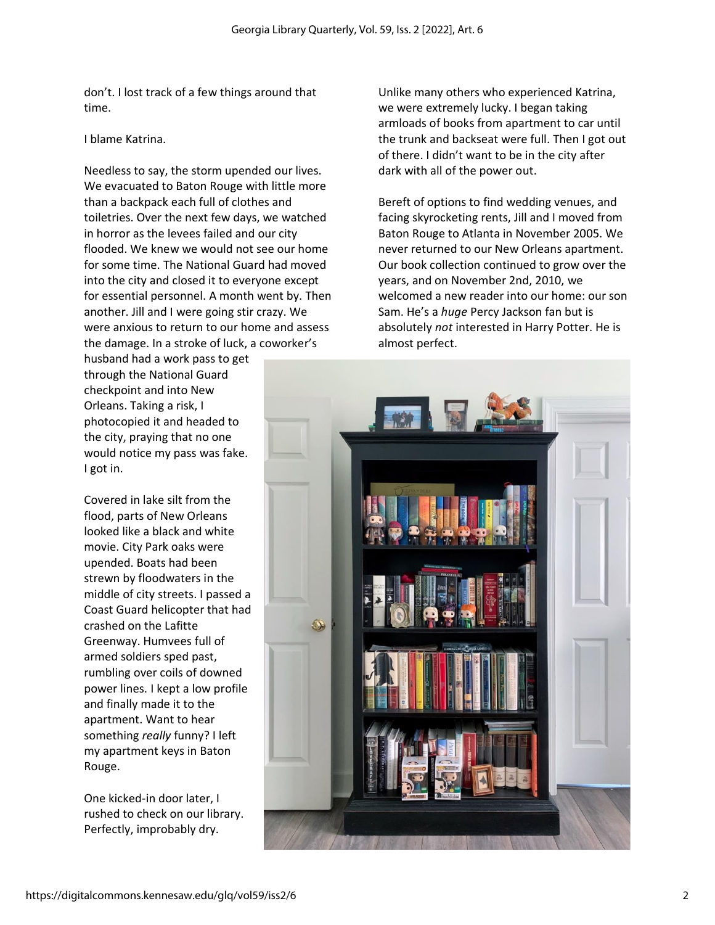don't. I lost track of a few things around that time.

#### I blame Katrina.

Needless to say, the storm upended our lives. We evacuated to Baton Rouge with little more than a backpack each full of clothes and toiletries. Over the next few days, we watched in horror as the levees failed and our city flooded. We knew we would not see our home for some time. The National Guard had moved into the city and closed it to everyone except for essential personnel. A month went by. Then another. Jill and I were going stir crazy. We were anxious to return to our home and assess the damage. In a stroke of luck, a coworker's

husband had a work pass to get through the National Guard checkpoint and into New Orleans. Taking a risk, I photocopied it and headed to the city, praying that no one would notice my pass was fake. I got in.

Covered in lake silt from the flood, parts of New Orleans looked like a black and white movie. City Park oaks were upended. Boats had been strewn by floodwaters in the middle of city streets. I passed a Coast Guard helicopter that had crashed on the Lafitte Greenway. Humvees full of armed soldiers sped past, rumbling over coils of downed power lines. I kept a low profile and finally made it to the apartment. Want to hear something *really* funny? I left my apartment keys in Baton Rouge.

One kicked-in door later, I rushed to check on our library. Perfectly, improbably dry.

Unlike many others who experienced Katrina, we were extremely lucky. I began taking armloads of books from apartment to car until the trunk and backseat were full. Then I got out of there. I didn't want to be in the city after dark with all of the power out.

Bereft of options to find wedding venues, and facing skyrocketing rents, Jill and I moved from Baton Rouge to Atlanta in November 2005. We never returned to our New Orleans apartment. Our book collection continued to grow over the years, and on November 2nd, 2010, we welcomed a new reader into our home: our son Sam. He's a *huge* Percy Jackson fan but is absolutely *not* interested in Harry Potter. He is almost perfect.